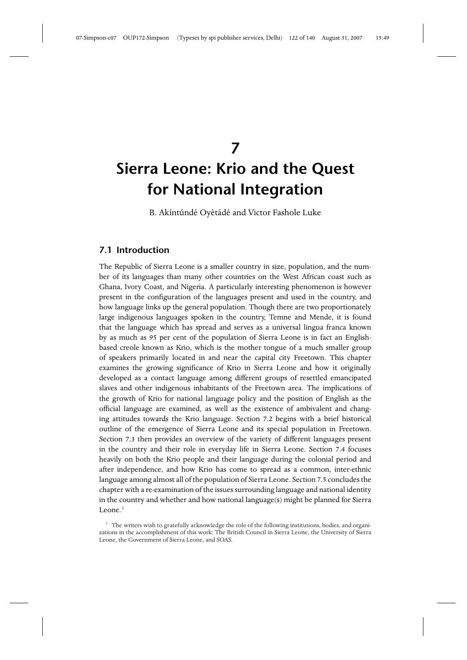## **7**

# **Sierra Leone: Krio and the Quest for National Integration**

B. Akíntúndé Oyètádé and Victor Fashole Luke

#### **7.1 Introduction**

The Republic of Sierra Leone is a smaller country in size, population, and the number of its languages than many other countries on the West African coast such as Ghana, Ivory Coast, and Nigeria. A particularly interesting phenomenon is however present in the configuration of the languages present and used in the country, and how language links up the general population. Though there are two proportionately large indigenous languages spoken in the country, Temne and Mende, it is found that the language which has spread and serves as a universal lingua franca known by as much as 95 per cent of the population of Sierra Leone is in fact an Englishbased creole known as Krio, which is the mother tongue of a much smaller group of speakers primarily located in and near the capital city Freetown. This chapter examines the growing significance of Krio in Sierra Leone and how it originally developed as a contact language among different groups of resettled emancipated slaves and other indigenous inhabitants of the Freetown area. The implications of the growth of Krio for national language policy and the position of English as the official language are examined, as well as the existence of ambivalent and changing attitudes towards the Krio language. Section 7.2 begins with a brief historical outline of the emergence of Sierra Leone and its special population in Freetown. Section 7.3 then provides an overview of the variety of different languages present in the country and their role in everyday life in Sierra Leone. Section 7.4 focuses heavily on both the Krio people and their language during the colonial period and after independence, and how Krio has come to spread as a common, inter-ethnic language among almost all of the population of Sierra Leone. Section 7.5 concludes the chapter with a re-examination of the issues surrounding language and national identity in the country and whether and how national language(s) might be planned for Sierra  $L$ eone. $1$ 

<sup>&</sup>lt;sup>1</sup> The writers wish to gratefully acknowledge the role of the following institutions, bodies, and organizations in the accomplishment of this work: The British Council in Sierra Leone, the University of Sierra Leone, the Government of Sierra Leone, and SOAS.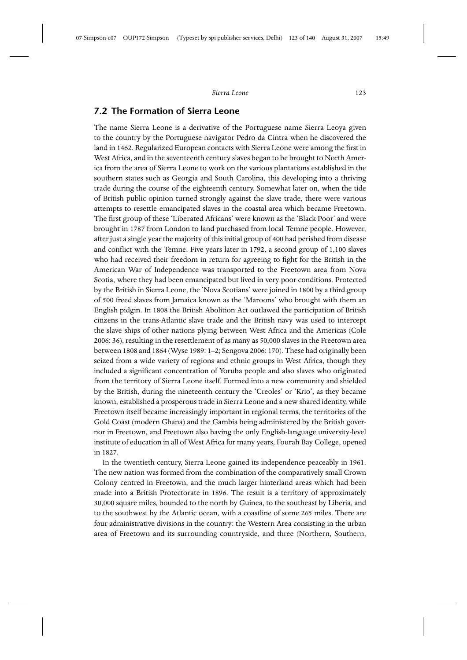### **7.2 The Formation of Sierra Leone**

The name Sierra Leone is a derivative of the Portuguese name Sierra Leoya given to the country by the Portuguese navigator Pedro da Cintra when he discovered the land in 1462. Regularized European contacts with Sierra Leone were among the first in West Africa, and in the seventeenth century slaves began to be brought to North America from the area of Sierra Leone to work on the various plantations established in the southern states such as Georgia and South Carolina, this developing into a thriving trade during the course of the eighteenth century. Somewhat later on, when the tide of British public opinion turned strongly against the slave trade, there were various attempts to resettle emancipated slaves in the coastal area which became Freetown. The first group of these 'Liberated Africans' were known as the 'Black Poor' and were brought in 1787 from London to land purchased from local Temne people. However, after just a single year the majority of this initial group of 400 had perished from disease and conflict with the Temne. Five years later in 1792, a second group of 1,100 slaves who had received their freedom in return for agreeing to fight for the British in the American War of Independence was transported to the Freetown area from Nova Scotia, where they had been emancipated but lived in very poor conditions. Protected by the British in Sierra Leone, the 'Nova Scotians' were joined in 1800 by a third group of 500 freed slaves from Jamaica known as the 'Maroons' who brought with them an English pidgin. In 1808 the British Abolition Act outlawed the participation of British citizens in the trans-Atlantic slave trade and the British navy was used to intercept the slave ships of other nations plying between West Africa and the Americas (Cole 2006: 36), resulting in the resettlement of as many as 50,000 slaves in the Freetown area between 1808 and 1864 (Wyse 1989: 1–2; Sengova 2006: 170). These had originally been seized from a wide variety of regions and ethnic groups in West Africa, though they included a significant concentration of Yoruba people and also slaves who originated from the territory of Sierra Leone itself. Formed into a new community and shielded by the British, during the nineteenth century the 'Creoles' or 'Krio', as they became known, established a prosperous trade in Sierra Leone and a new shared identity, while Freetown itself became increasingly important in regional terms, the territories of the Gold Coast (modern Ghana) and the Gambia being administered by the British governor in Freetown, and Freetown also having the only English-language university-level institute of education in all of West Africa for many years, Fourah Bay College, opened in 1827.

In the twentieth century, Sierra Leone gained its independence peaceably in 1961. The new nation was formed from the combination of the comparatively small Crown Colony centred in Freetown, and the much larger hinterland areas which had been made into a British Protectorate in 1896. The result is a territory of approximately 30,000 square miles, bounded to the north by Guinea, to the southeast by Liberia, and to the southwest by the Atlantic ocean, with a coastline of some 265 miles. There are four administrative divisions in the country: the Western Area consisting in the urban area of Freetown and its surrounding countryside, and three (Northern, Southern,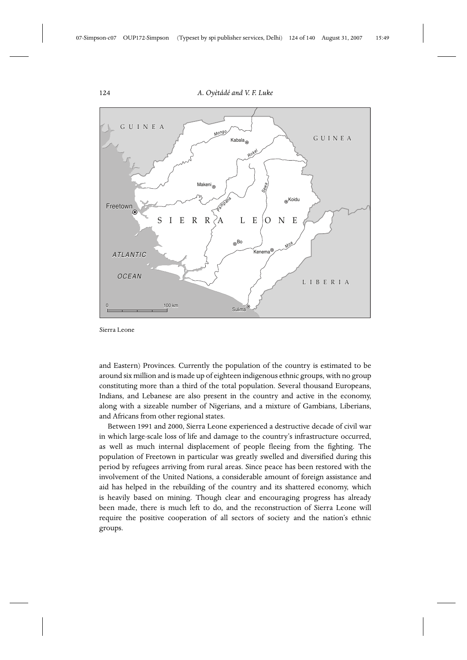

and Eastern) Provinces. Currently the population of the country is estimated to be around six million and is made up of eighteen indigenous ethnic groups, with no group constituting more than a third of the total population. Several thousand Europeans, Indians, and Lebanese are also present in the country and active in the economy, along with a sizeable number of Nigerians, and a mixture of Gambians, Liberians, and Africans from other regional states.

Between 1991 and 2000, Sierra Leone experienced a destructive decade of civil war in which large-scale loss of life and damage to the country's infrastructure occurred, as well as much internal displacement of people fleeing from the fighting. The population of Freetown in particular was greatly swelled and diversified during this period by refugees arriving from rural areas. Since peace has been restored with the involvement of the United Nations, a considerable amount of foreign assistance and aid has helped in the rebuilding of the country and its shattered economy, which is heavily based on mining. Though clear and encouraging progress has already been made, there is much left to do, and the reconstruction of Sierra Leone will require the positive cooperation of all sectors of society and the nation's ethnic groups.

#### 124 *A. Oyètádé and V. F. Luke*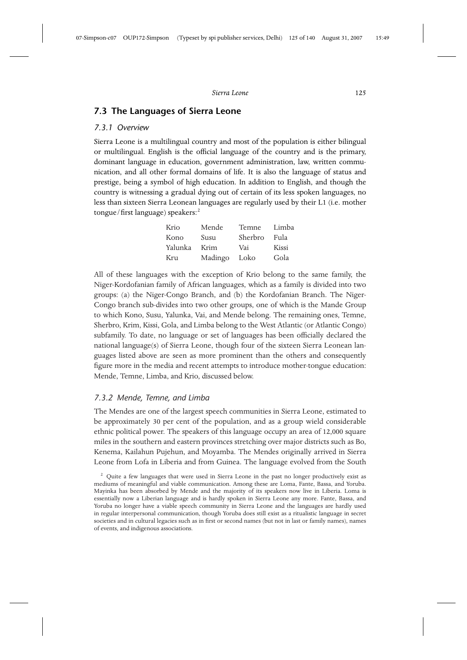#### **7.3 The Languages of Sierra Leone**

#### *7.3.1 Overview*

Sierra Leone is a multilingual country and most of the population is either bilingual or multilingual. English is the official language of the country and is the primary, dominant language in education, government administration, law, written communication, and all other formal domains of life. It is also the language of status and prestige, being a symbol of high education. In addition to English, and though the country is witnessing a gradual dying out of certain of its less spoken languages, no less than sixteen Sierra Leonean languages are regularly used by their L1 (i.e. mother tongue/first language) speakers: $^2$ 

| Krio    | Mende   | Temne   | Limba |
|---------|---------|---------|-------|
| Kono    | Susu    | Sherbro | Fula  |
| Yalunka | Krim    | Vai     | Kissi |
| Kru     | Madingo | Loko    | Gola  |

All of these languages with the exception of Krio belong to the same family, the Niger-Kordofanian family of African languages, which as a family is divided into two groups: (a) the Niger-Congo Branch, and (b) the Kordofanian Branch. The Niger-Congo branch sub-divides into two other groups, one of which is the Mande Group to which Kono, Susu, Yalunka, Vai, and Mende belong. The remaining ones, Temne, Sherbro, Krim, Kissi, Gola, and Limba belong to the West Atlantic (or Atlantic Congo) subfamily. To date, no language or set of languages has been officially declared the national language(s) of Sierra Leone, though four of the sixteen Sierra Leonean languages listed above are seen as more prominent than the others and consequently figure more in the media and recent attempts to introduce mother-tongue education: Mende, Temne, Limba, and Krio, discussed below.

#### *7.3.2 Mende, Temne, and Limba*

The Mendes are one of the largest speech communities in Sierra Leone, estimated to be approximately 30 per cent of the population, and as a group wield considerable ethnic political power. The speakers of this language occupy an area of 12,000 square miles in the southern and eastern provinces stretching over major districts such as Bo, Kenema, Kailahun Pujehun, and Moyamba. The Mendes originally arrived in Sierra Leone from Lofa in Liberia and from Guinea. The language evolved from the South

<sup>&</sup>lt;sup>2</sup> Quite a few languages that were used in Sierra Leone in the past no longer productively exist as mediums of meaningful and viable communication. Among these are Loma, Fante, Bassa, and Yoruba. Mayinka has been absorbed by Mende and the majority of its speakers now live in Liberia. Loma is essentially now a Liberian language and is hardly spoken in Sierra Leone any more. Fante, Bassa, and Yoruba no longer have a viable speech community in Sierra Leone and the languages are hardly used in regular interpersonal communication, though Yoruba does still exist as a ritualistic language in secret societies and in cultural legacies such as in first or second names (but not in last or family names), names of events, and indigenous associations.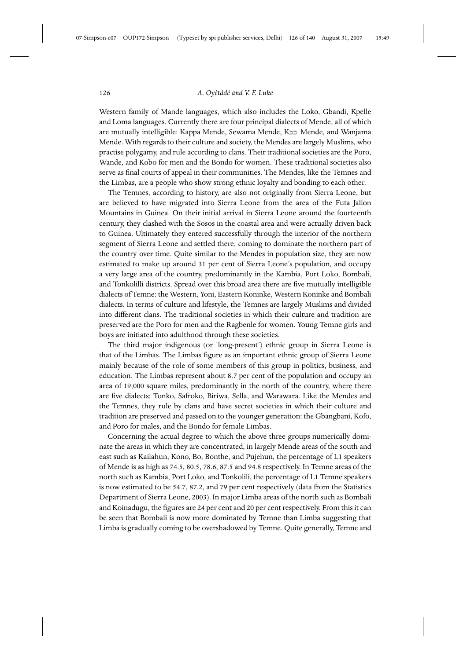Western family of Mande languages, which also includes the Loko, Gbandi, Kpelle and Loma languages. Currently there are four principal dialects of Mende, all of which are mutually intelligible: Kappa Mende, Sewama Mende, Kבב Mende, and Wanjama Mende. With regards to their culture and society, the Mendes are largely Muslims, who practise polygamy, and rule according to clans. Their traditional societies are the Poro, Wande, and Kobo for men and the Bondo for women. These traditional societies also serve as final courts of appeal in their communities. The Mendes, like the Temnes and the Limbas, are a people who show strong ethnic loyalty and bonding to each other.

The Temnes, according to history, are also not originally from Sierra Leone, but are believed to have migrated into Sierra Leone from the area of the Futa Jallon Mountains in Guinea. On their initial arrival in Sierra Leone around the fourteenth century, they clashed with the Sosos in the coastal area and were actually driven back to Guinea. Ultimately they entered successfully through the interior of the northern segment of Sierra Leone and settled there, coming to dominate the northern part of the country over time. Quite similar to the Mendes in population size, they are now estimated to make up around 31 per cent of Sierra Leone's population, and occupy a very large area of the country, predominantly in the Kambia, Port Loko, Bombali, and Tonkolilli districts. Spread over this broad area there are five mutually intelligible dialects of Temne: the Western, Yoni, Eastern Koninke, Western Koninke and Bombali dialects. In terms of culture and lifestyle, the Temnes are largely Muslims and divided into different clans. The traditional societies in which their culture and tradition are preserved are the Poro for men and the Ragbenle for women. Young Temne girls and boys are initiated into adulthood through these societies.

The third major indigenous (or 'long-present') ethnic group in Sierra Leone is that of the Limbas. The Limbas figure as an important ethnic group of Sierra Leone mainly because of the role of some members of this group in politics, business, and education. The Limbas represent about 8.7 per cent of the population and occupy an area of 19,000 square miles, predominantly in the north of the country, where there are five dialects: Tonko, Safroko, Biriwa, Sella, and Warawara. Like the Mendes and the Temnes, they rule by clans and have secret societies in which their culture and tradition are preserved and passed on to the younger generation: the Gbangbani, Kofo, and Poro for males, and the Bondo for female Limbas.

Concerning the actual degree to which the above three groups numerically dominate the areas in which they are concentrated, in largely Mende areas of the south and east such as Kailahun, Kono, Bo, Bonthe, and Pujehun, the percentage of L1 speakers of Mende is as high as 74.5, 80.5, 78.6, 87.5 and 94.8 respectively. In Temne areas of the north such as Kambia, Port Loko, and Tonkolili, the percentage of L1 Temne speakers is now estimated to be 54.7, 87.2, and 79 per cent respectively (data from the Statistics Department of Sierra Leone, 2003). In major Limba areas of the north such as Bombali and Koinadugu, the figures are 24 per cent and 20 per cent respectively. From this it can be seen that Bombali is now more dominated by Temne than Limba suggesting that Limba is gradually coming to be overshadowed by Temne. Quite generally, Temne and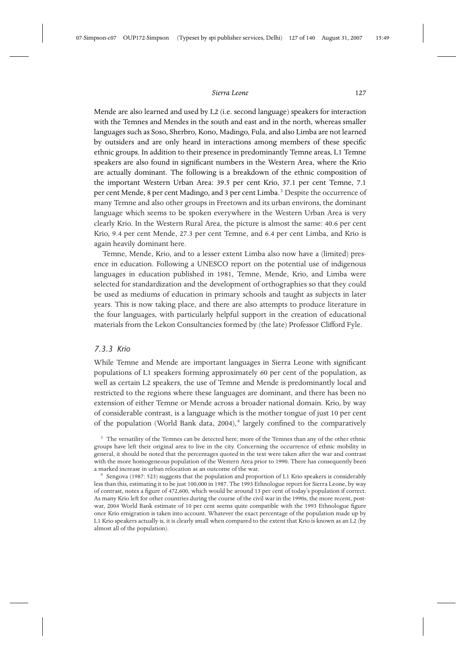Mende are also learned and used by L2 (i.e. second language) speakers for interaction with the Temnes and Mendes in the south and east and in the north, whereas smaller languages such as Soso, Sherbro, Kono, Madingo, Fula, and also Limba are not learned by outsiders and are only heard in interactions among members of these specific ethnic groups. In addition to their presence in predominantly Temne areas, L1 Temne speakers are also found in significant numbers in the Western Area, where the Krio are actually dominant. The following is a breakdown of the ethnic composition of the important Western Urban Area: 39.5 per cent Krio, 37.1 per cent Temne, 7.1 per cent Mende, 8 per cent Madingo, and 3 per cent Limba.<sup>3</sup> Despite the occurrence of many Temne and also other groups in Freetown and its urban environs, the dominant language which seems to be spoken everywhere in the Western Urban Area is very clearly Krio. In the Western Rural Area, the picture is almost the same: 40.6 per cent Krio, 9.4 per cent Mende, 27.3 per cent Temne, and 6.4 per cent Limba, and Krio is again heavily dominant here.

Temne, Mende, Krio, and to a lesser extent Limba also now have a (limited) presence in education. Following a UNESCO report on the potential use of indigenous languages in education published in 1981, Temne, Mende, Krio, and Limba were selected for standardization and the development of orthographies so that they could be used as mediums of education in primary schools and taught as subjects in later years. This is now taking place, and there are also attempts to produce literature in the four languages, with particularly helpful support in the creation of educational materials from the Lekon Consultancies formed by (the late) Professor Clifford Fyle.

#### *7.3.3 Krio*

While Temne and Mende are important languages in Sierra Leone with significant populations of L1 speakers forming approximately 60 per cent of the population, as well as certain L2 speakers, the use of Temne and Mende is predominantly local and restricted to the regions where these languages are dominant, and there has been no extension of either Temne or Mende across a broader national domain. Krio, by way of considerable contrast, is a language which is the mother tongue of just 10 per cent of the population (World Bank data, 2004), $4$  largely confined to the comparatively

<sup>&</sup>lt;sup>3</sup> The versatility of the Temnes can be detected here; more of the Temnes than any of the other ethnic groups have left their original area to live in the city. Concerning the occurrence of ethnic mobility in general, it should be noted that the percentages quoted in the text were taken after the war and contrast with the more homogeneous population of the Western Area prior to 1990. There has consequently been a marked increase in urban relocation as an outcome of the war. <sup>4</sup> Sengova (1987: 523) suggests that the population and proportion of L1 Krio speakers is considerably

less than this, estimating it to be just 100,000 in 1987. The 1993 Ethnologue report for Sierra Leone, by way of contrast, notes a figure of 472,600, which would be around 13 per cent of today's population if correct. As many Krio left for other countries during the course of the civil war in the 1990s, the more recent, postwar, 2004 World Bank estimate of 10 per cent seems quite compatible with the 1993 Ethnologue figure once Krio emigration is taken into account. Whatever the exact percentage of the population made up by L1 Krio speakers actually is, it is clearly small when compared to the extent that Krio is known as an L2 (by almost all of the population).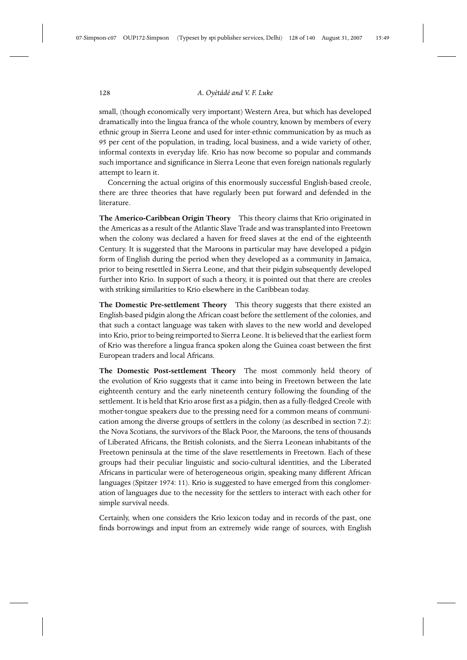small, (though economically very important) Western Area, but which has developed dramatically into the lingua franca of the whole country, known by members of every ethnic group in Sierra Leone and used for inter-ethnic communication by as much as 95 per cent of the population, in trading, local business, and a wide variety of other, informal contexts in everyday life. Krio has now become so popular and commands such importance and significance in Sierra Leone that even foreign nationals regularly attempt to learn it.

Concerning the actual origins of this enormously successful English-based creole, there are three theories that have regularly been put forward and defended in the literature.

**The Americo-Caribbean Origin Theory** This theory claims that Krio originated in the Americas as a result of the Atlantic Slave Trade and was transplanted into Freetown when the colony was declared a haven for freed slaves at the end of the eighteenth Century. It is suggested that the Maroons in particular may have developed a pidgin form of English during the period when they developed as a community in Jamaica, prior to being resettled in Sierra Leone, and that their pidgin subsequently developed further into Krio. In support of such a theory, it is pointed out that there are creoles with striking similarities to Krio elsewhere in the Caribbean today.

**The Domestic Pre-settlement Theory** This theory suggests that there existed an English-based pidgin along the African coast before the settlement of the colonies, and that such a contact language was taken with slaves to the new world and developed into Krio, prior to being reimported to Sierra Leone. It is believed that the earliest form of Krio was therefore a lingua franca spoken along the Guinea coast between the first European traders and local Africans.

**The Domestic Post-settlement Theory** The most commonly held theory of the evolution of Krio suggests that it came into being in Freetown between the late eighteenth century and the early nineteenth century following the founding of the settlement. It is held that Krio arose first as a pidgin, then as a fully-fledged Creole with mother-tongue speakers due to the pressing need for a common means of communication among the diverse groups of settlers in the colony (as described in section 7.2): the Nova Scotians, the survivors of the Black Poor, the Maroons, the tens of thousands of Liberated Africans, the British colonists, and the Sierra Leonean inhabitants of the Freetown peninsula at the time of the slave resettlements in Freetown. Each of these groups had their peculiar linguistic and socio-cultural identities, and the Liberated Africans in particular were of heterogeneous origin, speaking many different African languages (Spitzer 1974: 11). Krio is suggested to have emerged from this conglomeration of languages due to the necessity for the settlers to interact with each other for simple survival needs.

Certainly, when one considers the Krio lexicon today and in records of the past, one finds borrowings and input from an extremely wide range of sources, with English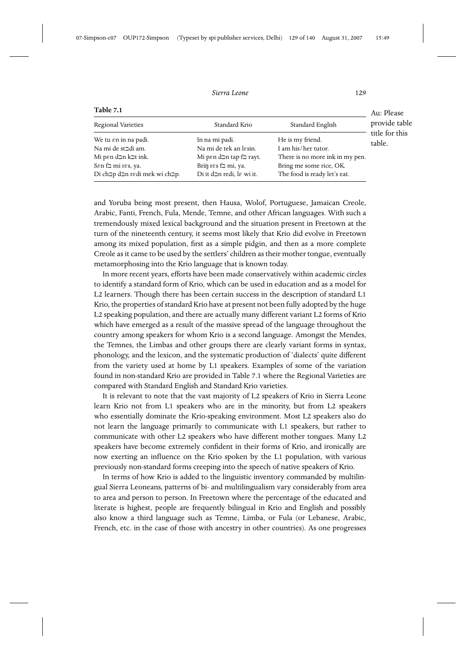| Table 7.1                         |                                                                                             |                                 |                |
|-----------------------------------|---------------------------------------------------------------------------------------------|---------------------------------|----------------|
| <b>Regional Varieties</b>         | Standard Krio                                                                               | Standard English                | provide table  |
| We tu $\varepsilon$ n in na padi. | In na mi padi.                                                                              | He is my friend.                | title for this |
| Na mi de st⊐di am.                | Na mi de tek an lesin.                                                                      | I am his/her tutor.             | table.         |
| Mi p $\varepsilon$ n d⊐n k⊐t ink. | $\text{Mi } \text{p}\varepsilon \text{n} \, \text{d} \text{In } \text{tap } \text{f}$ rayt. | There is no more ink in my pen. |                |
| Sεn f⊒ mi rεs, ya.                | Brin r $\varepsilon$ s f $\exists$ mi, ya.                                                  | Bring me some rice, OK.         |                |
| Di ch⊐p d⊐n r&di mek wi ch⊐p.     | Di it d $\exists$ n redi, l $\varepsilon$ wi it.                                            | The food is ready let's eat.    |                |

and Yoruba being most present, then Hausa, Wolof, Portuguese, Jamaican Creole, Arabic, Fanti, French, Fula, Mende, Temne, and other African languages. With such a tremendously mixed lexical background and the situation present in Freetown at the turn of the nineteenth century, it seems most likely that Krio did evolve in Freetown among its mixed population, first as a simple pidgin, and then as a more complete Creole as it came to be used by the settlers' children as their mother tongue, eventually metamorphosing into the Krio language that is known today.

In more recent years, efforts have been made conservatively within academic circles to identify a standard form of Krio, which can be used in education and as a model for L2 learners. Though there has been certain success in the description of standard L1 Krio, the properties of standard Krio have at present not been fully adopted by the huge L2 speaking population, and there are actually many different variant L2 forms of Krio which have emerged as a result of the massive spread of the language throughout the country among speakers for whom Krio is a second language. Amongst the Mendes, the Temnes, the Limbas and other groups there are clearly variant forms in syntax, phonology, and the lexicon, and the systematic production of 'dialects' quite different from the variety used at home by L1 speakers. Examples of some of the variation found in non-standard Krio are provided in Table 7.1 where the Regional Varieties are compared with Standard English and Standard Krio varieties.

It is relevant to note that the vast majority of L2 speakers of Krio in Sierra Leone learn Krio not from L1 speakers who are in the minority, but from L2 speakers who essentially dominate the Krio-speaking environment. Most L2 speakers also do not learn the language primarily to communicate with L1 speakers, but rather to communicate with other L2 speakers who have different mother tongues. Many L2 speakers have become extremely confident in their forms of Krio, and ironically are now exerting an influence on the Krio spoken by the L1 population, with various previously non-standard forms creeping into the speech of native speakers of Krio.

In terms of how Krio is added to the linguistic inventory commanded by multilingual Sierra Leoneans, patterns of bi- and multilingualism vary considerably from area to area and person to person. In Freetown where the percentage of the educated and literate is highest, people are frequently bilingual in Krio and English and possibly also know a third language such as Temne, Limba, or Fula (or Lebanese, Arabic, French, etc. in the case of those with ancestry in other countries). As one progresses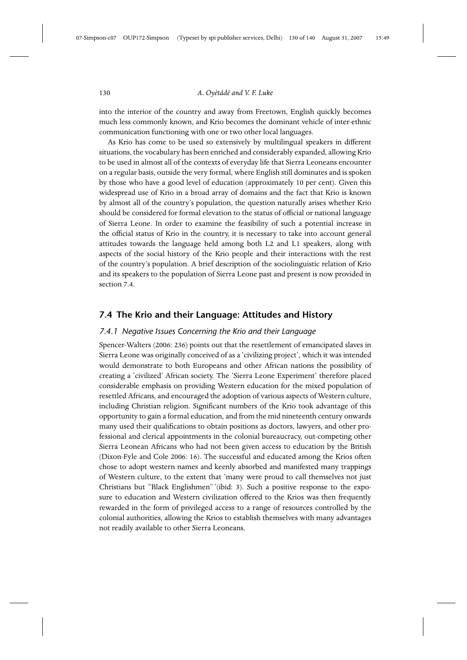into the interior of the country and away from Freetown, English quickly becomes much less commonly known, and Krio becomes the dominant vehicle of inter-ethnic communication functioning with one or two other local languages.

As Krio has come to be used so extensively by multilingual speakers in different situations, the vocabulary has been enriched and considerably expanded, allowing Krio to be used in almost all of the contexts of everyday life that Sierra Leoneans encounter on a regular basis, outside the very formal, where English still dominates and is spoken by those who have a good level of education (approximately 10 per cent). Given this widespread use of Krio in a broad array of domains and the fact that Krio is known by almost all of the country's population, the question naturally arises whether Krio should be considered for formal elevation to the status of official or national language of Sierra Leone. In order to examine the feasibility of such a potential increase in the official status of Krio in the country, it is necessary to take into account general attitudes towards the language held among both L2 and L1 speakers, along with aspects of the social history of the Krio people and their interactions with the rest of the country's population. A brief description of the sociolinguistic relation of Krio and its speakers to the population of Sierra Leone past and present is now provided in section 7.4.

#### **7.4 The Krio and their Language: Attitudes and History**

#### *7.4.1 Negative Issues Concerning the Krio and their Language*

Spencer-Walters (2006: 236) points out that the resettlement of emancipated slaves in Sierra Leone was originally conceived of as a 'civilizing project', which it was intended would demonstrate to both Europeans and other African nations the possibility of creating a 'civilized' African society. The 'Sierra Leone Experiment' therefore placed considerable emphasis on providing Western education for the mixed population of resettled Africans, and encouraged the adoption of various aspects of Western culture, including Christian religion. Significant numbers of the Krio took advantage of this opportunity to gain a formal education, and from the mid nineteenth century onwards many used their qualifications to obtain positions as doctors, lawyers, and other professional and clerical appointments in the colonial bureaucracy, out-competing other Sierra Leonean Africans who had not been given access to education by the British (Dixon-Fyle and Cole 2006: 16). The successful and educated among the Krios often chose to adopt western names and keenly absorbed and manifested many trappings of Western culture, to the extent that 'many were proud to call themselves not just Christians but "Black Englishmen" '(ibid: 3). Such a positive response to the exposure to education and Western civilization offered to the Krios was then frequently rewarded in the form of privileged access to a range of resources controlled by the colonial authorities, allowing the Krios to establish themselves with many advantages not readily available to other Sierra Leoneans.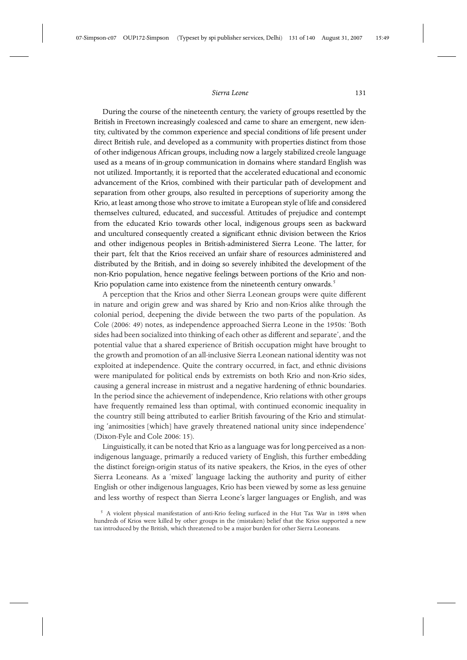During the course of the nineteenth century, the variety of groups resettled by the British in Freetown increasingly coalesced and came to share an emergent, new identity, cultivated by the common experience and special conditions of life present under direct British rule, and developed as a community with properties distinct from those of other indigenous African groups, including now a largely stabilized creole language used as a means of in-group communication in domains where standard English was not utilized. Importantly, it is reported that the accelerated educational and economic advancement of the Krios, combined with their particular path of development and separation from other groups, also resulted in perceptions of superiority among the Krio, at least among those who strove to imitate a European style of life and considered themselves cultured, educated, and successful. Attitudes of prejudice and contempt from the educated Krio towards other local, indigenous groups seen as backward and uncultured consequently created a significant ethnic division between the Krios and other indigenous peoples in British-administered Sierra Leone. The latter, for their part, felt that the Krios received an unfair share of resources administered and distributed by the British, and in doing so severely inhibited the development of the non-Krio population, hence negative feelings between portions of the Krio and non-Krio population came into existence from the nineteenth century onwards.<sup>5</sup>

A perception that the Krios and other Sierra Leonean groups were quite different in nature and origin grew and was shared by Krio and non-Krios alike through the colonial period, deepening the divide between the two parts of the population. As Cole (2006: 49) notes, as independence approached Sierra Leone in the 1950s: 'Both sides had been socialized into thinking of each other as different and separate', and the potential value that a shared experience of British occupation might have brought to the growth and promotion of an all-inclusive Sierra Leonean national identity was not exploited at independence. Quite the contrary occurred, in fact, and ethnic divisions were manipulated for political ends by extremists on both Krio and non-Krio sides, causing a general increase in mistrust and a negative hardening of ethnic boundaries. In the period since the achievement of independence, Krio relations with other groups have frequently remained less than optimal, with continued economic inequality in the country still being attributed to earlier British favouring of the Krio and stimulating 'animosities [which] have gravely threatened national unity since independence' (Dixon-Fyle and Cole 2006: 15).

Linguistically, it can be noted that Krio as a language was for long perceived as a nonindigenous language, primarily a reduced variety of English, this further embedding the distinct foreign-origin status of its native speakers, the Krios, in the eyes of other Sierra Leoneans. As a 'mixed' language lacking the authority and purity of either English or other indigenous languages, Krio has been viewed by some as less genuine and less worthy of respect than Sierra Leone's larger languages or English, and was

<sup>5</sup> A violent physical manifestation of anti-Krio feeling surfaced in the Hut Tax War in 1898 when hundreds of Krios were killed by other groups in the (mistaken) belief that the Krios supported a new tax introduced by the British, which threatened to be a major burden for other Sierra Leoneans.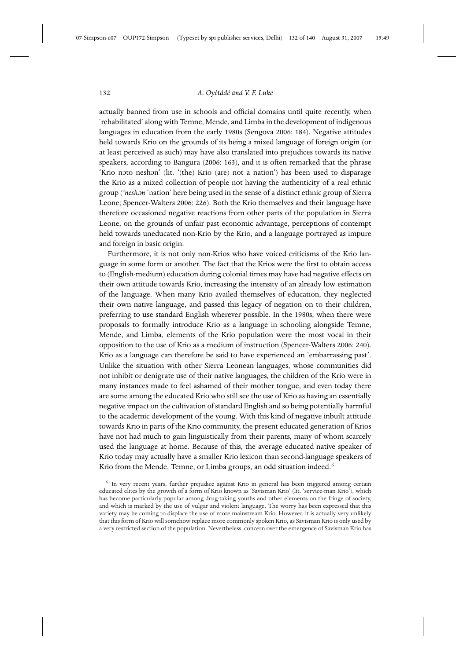actually banned from use in schools and official domains until quite recently, when 'rehabilitated' along with Temne, Mende, and Limba in the development of indigenous languages in education from the early 1980s (Sengova 2006: 184). Negative attitudes held towards Krio on the grounds of its being a mixed language of foreign origin (or at least perceived as such) may have also translated into prejudices towards its native speakers, according to Bangura (2006: 163), and it is often remarked that the phrase 'Krio nOto neshOn' (lit. '(the) Krio (are) not a nation') has been used to disparage the Krio as a mixed collection of people not having the authenticity of a real ethnic group (*'nesh*O*n* 'nation' here being used in the sense of a distinct ethnic group of Sierra Leone; Spencer-Walters 2006: 226). Both the Krio themselves and their language have therefore occasioned negative reactions from other parts of the population in Sierra Leone, on the grounds of unfair past economic advantage, perceptions of contempt held towards uneducated non-Krio by the Krio, and a language portrayed as impure and foreign in basic origin.

Furthermore, it is not only non-Krios who have voiced criticisms of the Krio language in some form or another. The fact that the Krios were the first to obtain access to (English-medium) education during colonial times may have had negative effects on their own attitude towards Krio, increasing the intensity of an already low estimation of the language. When many Krio availed themselves of education, they neglected their own native language, and passed this legacy of negation on to their children, preferring to use standard English wherever possible. In the 1980s, when there were proposals to formally introduce Krio as a language in schooling alongside Temne, Mende, and Limba, elements of the Krio population were the most vocal in their opposition to the use of Krio as a medium of instruction (Spencer-Walters 2006: 240). Krio as a language can therefore be said to have experienced an 'embarrassing past'. Unlike the situation with other Sierra Leonean languages, whose communities did not inhibit or denigrate use of their native languages, the children of the Krio were in many instances made to feel ashamed of their mother tongue, and even today there are some among the educated Krio who still see the use of Krio as having an essentially negative impact on the cultivation of standard English and so being potentially harmful to the academic development of the young. With this kind of negative inbuilt attitude towards Krio in parts of the Krio community, the present educated generation of Krios have not had much to gain linguistically from their parents, many of whom scarcely used the language at home. Because of this, the average educated native speaker of Krio today may actually have a smaller Krio lexicon than second-language speakers of Krio from the Mende, Temne, or Limba groups, an odd situation indeed.<sup>6</sup>

<sup>6</sup> In very recent years, further prejudice against Krio in general has been triggered among certain educated elites by the growth of a form of Krio known as 'Savisman Krio' (lit. 'service-man Krio'), which has become particularly popular among drug-taking youths and other elements on the fringe of society, and which is marked by the use of vulgar and violent language. The worry has been expressed that this variety may be coming to displace the use of more mainstream Krio. However, it is actually very unlikely that this form of Krio will somehow replace more commonly spoken Krio, as Savisman Krio is only used by a very restricted section of the population. Nevertheless, concern over the emergence of Savisman Krio has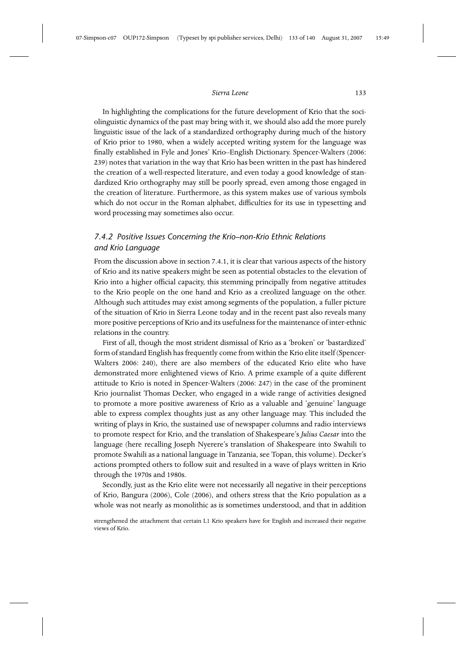In highlighting the complications for the future development of Krio that the sociolinguistic dynamics of the past may bring with it, we should also add the more purely linguistic issue of the lack of a standardized orthography during much of the history of Krio prior to 1980, when a widely accepted writing system for the language was finally established in Fyle and Jones' Krio–English Dictionary. Spencer-Walters (2006: 239) notes that variation in the way that Krio has been written in the past has hindered the creation of a well-respected literature, and even today a good knowledge of standardized Krio orthography may still be poorly spread, even among those engaged in the creation of literature. Furthermore, as this system makes use of various symbols which do not occur in the Roman alphabet, difficulties for its use in typesetting and word processing may sometimes also occur.

#### *7.4.2 Positive Issues Concerning the Krio–non-Krio Ethnic Relations and Krio Language*

From the discussion above in section 7.4.1, it is clear that various aspects of the history of Krio and its native speakers might be seen as potential obstacles to the elevation of Krio into a higher official capacity, this stemming principally from negative attitudes to the Krio people on the one hand and Krio as a creolized language on the other. Although such attitudes may exist among segments of the population, a fuller picture of the situation of Krio in Sierra Leone today and in the recent past also reveals many more positive perceptions of Krio and its usefulness for the maintenance of inter-ethnic relations in the country.

First of all, though the most strident dismissal of Krio as a 'broken' or 'bastardized' form of standard English has frequently come from within the Krio elite itself (Spencer-Walters 2006: 240), there are also members of the educated Krio elite who have demonstrated more enlightened views of Krio. A prime example of a quite different attitude to Krio is noted in Spencer-Walters (2006: 247) in the case of the prominent Krio journalist Thomas Decker, who engaged in a wide range of activities designed to promote a more positive awareness of Krio as a valuable and 'genuine' language able to express complex thoughts just as any other language may. This included the writing of plays in Krio, the sustained use of newspaper columns and radio interviews to promote respect for Krio, and the translation of Shakespeare's *Julius Caesar* into the language (here recalling Joseph Nyerere's translation of Shakespeare into Swahili to promote Swahili as a national language in Tanzania, see Topan, this volume). Decker's actions prompted others to follow suit and resulted in a wave of plays written in Krio through the 1970s and 1980s.

Secondly, just as the Krio elite were not necessarily all negative in their perceptions of Krio, Bangura (2006), Cole (2006), and others stress that the Krio population as a whole was not nearly as monolithic as is sometimes understood, and that in addition

strengthened the attachment that certain L1 Krio speakers have for English and increased their negative views of Krio.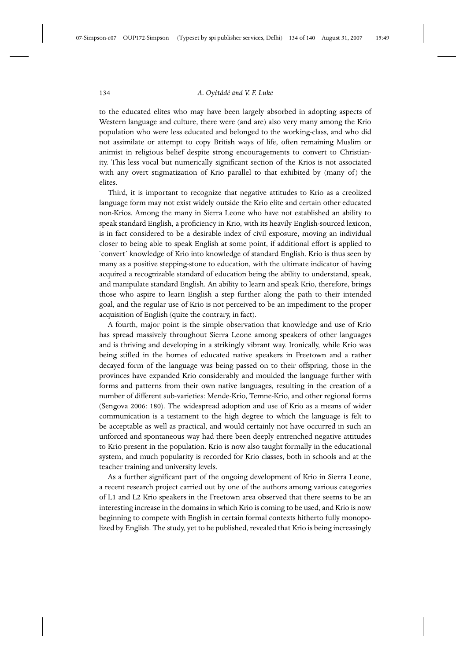to the educated elites who may have been largely absorbed in adopting aspects of Western language and culture, there were (and are) also very many among the Krio population who were less educated and belonged to the working-class, and who did not assimilate or attempt to copy British ways of life, often remaining Muslim or animist in religious belief despite strong encouragements to convert to Christianity. This less vocal but numerically significant section of the Krios is not associated with any overt stigmatization of Krio parallel to that exhibited by (many of) the elites.

Third, it is important to recognize that negative attitudes to Krio as a creolized language form may not exist widely outside the Krio elite and certain other educated non-Krios. Among the many in Sierra Leone who have not established an ability to speak standard English, a proficiency in Krio, with its heavily English-sourced lexicon, is in fact considered to be a desirable index of civil exposure, moving an individual closer to being able to speak English at some point, if additional effort is applied to 'convert' knowledge of Krio into knowledge of standard English. Krio is thus seen by many as a positive stepping-stone to education, with the ultimate indicator of having acquired a recognizable standard of education being the ability to understand, speak, and manipulate standard English. An ability to learn and speak Krio, therefore, brings those who aspire to learn English a step further along the path to their intended goal, and the regular use of Krio is not perceived to be an impediment to the proper acquisition of English (quite the contrary, in fact).

A fourth, major point is the simple observation that knowledge and use of Krio has spread massively throughout Sierra Leone among speakers of other languages and is thriving and developing in a strikingly vibrant way. Ironically, while Krio was being stifled in the homes of educated native speakers in Freetown and a rather decayed form of the language was being passed on to their offspring, those in the provinces have expanded Krio considerably and moulded the language further with forms and patterns from their own native languages, resulting in the creation of a number of different sub-varieties: Mende-Krio, Temne-Krio, and other regional forms (Sengova 2006: 180). The widespread adoption and use of Krio as a means of wider communication is a testament to the high degree to which the language is felt to be acceptable as well as practical, and would certainly not have occurred in such an unforced and spontaneous way had there been deeply entrenched negative attitudes to Krio present in the population. Krio is now also taught formally in the educational system, and much popularity is recorded for Krio classes, both in schools and at the teacher training and university levels.

As a further significant part of the ongoing development of Krio in Sierra Leone, a recent research project carried out by one of the authors among various categories of L1 and L2 Krio speakers in the Freetown area observed that there seems to be an interesting increase in the domains in which Krio is coming to be used, and Krio is now beginning to compete with English in certain formal contexts hitherto fully monopolized by English. The study, yet to be published, revealed that Krio is being increasingly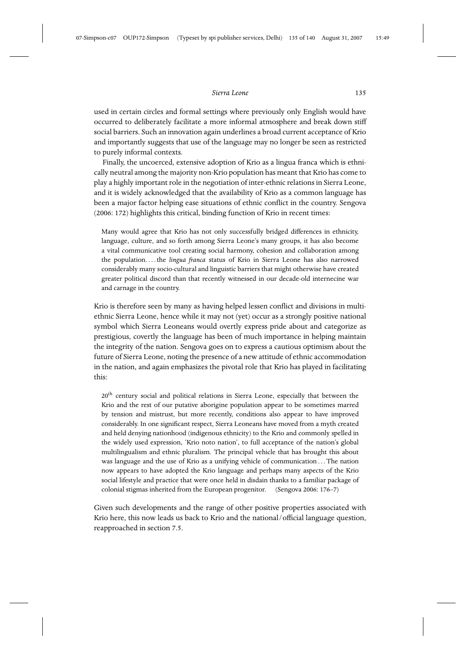used in certain circles and formal settings where previously only English would have occurred to deliberately facilitate a more informal atmosphere and break down stiff social barriers. Such an innovation again underlines a broad current acceptance of Krio and importantly suggests that use of the language may no longer be seen as restricted to purely informal contexts.

Finally, the uncoerced, extensive adoption of Krio as a lingua franca which is ethnically neutral among the majority non-Krio population has meant that Krio has come to play a highly important role in the negotiation of inter-ethnic relations in Sierra Leone, and it is widely acknowledged that the availability of Krio as a common language has been a major factor helping ease situations of ethnic conflict in the country. Sengova (2006: 172) highlights this critical, binding function of Krio in recent times:

Many would agree that Krio has not only successfully bridged differences in ethnicity, language, culture, and so forth among Sierra Leone's many groups, it has also become a vital communicative tool creating social harmony, cohesion and collaboration among the population. . . . the *lingua franca* status of Krio in Sierra Leone has also narrowed considerably many socio-cultural and linguistic barriers that might otherwise have created greater political discord than that recently witnessed in our decade-old internecine war and carnage in the country.

Krio is therefore seen by many as having helped lessen conflict and divisions in multiethnic Sierra Leone, hence while it may not (yet) occur as a strongly positive national symbol which Sierra Leoneans would overtly express pride about and categorize as prestigious, covertly the language has been of much importance in helping maintain the integrity of the nation. Sengova goes on to express a cautious optimism about the future of Sierra Leone, noting the presence of a new attitude of ethnic accommodation in the nation, and again emphasizes the pivotal role that Krio has played in facilitating this:

20<sup>th</sup> century social and political relations in Sierra Leone, especially that between the Krio and the rest of our putative aborigine population appear to be sometimes marred by tension and mistrust, but more recently, conditions also appear to have improved considerably. In one significant respect, Sierra Leoneans have moved from a myth created and held denying nationhood (indigenous ethnicity) to the Krio and commonly spelled in the widely used expression, 'Krio noto nation', to full acceptance of the nation's global multilingualism and ethnic pluralism. The principal vehicle that has brought this about was language and the use of Krio as a unifying vehicle of communication . . . The nation now appears to have adopted the Krio language and perhaps many aspects of the Krio social lifestyle and practice that were once held in disdain thanks to a familiar package of colonial stigmas inherited from the European progenitor. (Sengova 2006: 176–7)

Given such developments and the range of other positive properties associated with Krio here, this now leads us back to Krio and the national/official language question, reapproached in section 7.5.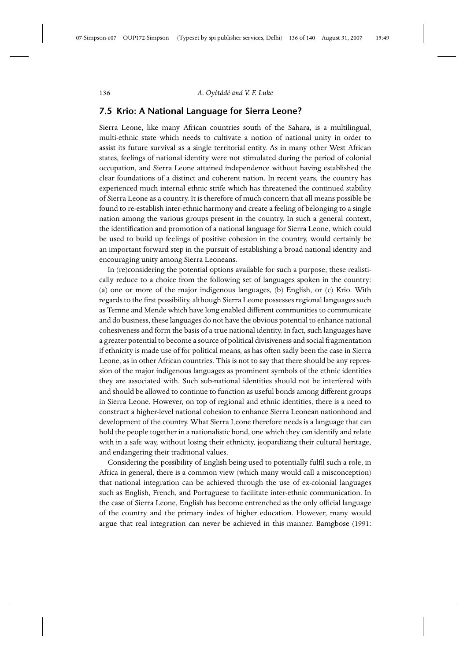#### **7.5 Krio: A National Language for Sierra Leone?**

Sierra Leone, like many African countries south of the Sahara, is a multilingual, multi-ethnic state which needs to cultivate a notion of national unity in order to assist its future survival as a single territorial entity. As in many other West African states, feelings of national identity were not stimulated during the period of colonial occupation, and Sierra Leone attained independence without having established the clear foundations of a distinct and coherent nation. In recent years, the country has experienced much internal ethnic strife which has threatened the continued stability of Sierra Leone as a country. It is therefore of much concern that all means possible be found to re-establish inter-ethnic harmony and create a feeling of belonging to a single nation among the various groups present in the country. In such a general context, the identification and promotion of a national language for Sierra Leone, which could be used to build up feelings of positive cohesion in the country, would certainly be an important forward step in the pursuit of establishing a broad national identity and encouraging unity among Sierra Leoneans.

In (re)considering the potential options available for such a purpose, these realistically reduce to a choice from the following set of languages spoken in the country: (a) one or more of the major indigenous languages, (b) English, or (c) Krio. With regards to the first possibility, although Sierra Leone possesses regional languages such as Temne and Mende which have long enabled different communities to communicate and do business, these languages do not have the obvious potential to enhance national cohesiveness and form the basis of a true national identity. In fact, such languages have a greater potential to become a source of political divisiveness and social fragmentation if ethnicity is made use of for political means, as has often sadly been the case in Sierra Leone, as in other African countries. This is not to say that there should be any repression of the major indigenous languages as prominent symbols of the ethnic identities they are associated with. Such sub-national identities should not be interfered with and should be allowed to continue to function as useful bonds among different groups in Sierra Leone. However, on top of regional and ethnic identities, there is a need to construct a higher-level national cohesion to enhance Sierra Leonean nationhood and development of the country. What Sierra Leone therefore needs is a language that can hold the people together in a nationalistic bond, one which they can identify and relate with in a safe way, without losing their ethnicity, jeopardizing their cultural heritage, and endangering their traditional values.

Considering the possibility of English being used to potentially fulfil such a role, in Africa in general, there is a common view (which many would call a misconception) that national integration can be achieved through the use of ex-colonial languages such as English, French, and Portuguese to facilitate inter-ethnic communication. In the case of Sierra Leone, English has become entrenched as the only official language of the country and the primary index of higher education. However, many would argue that real integration can never be achieved in this manner. Bamgbose (1991: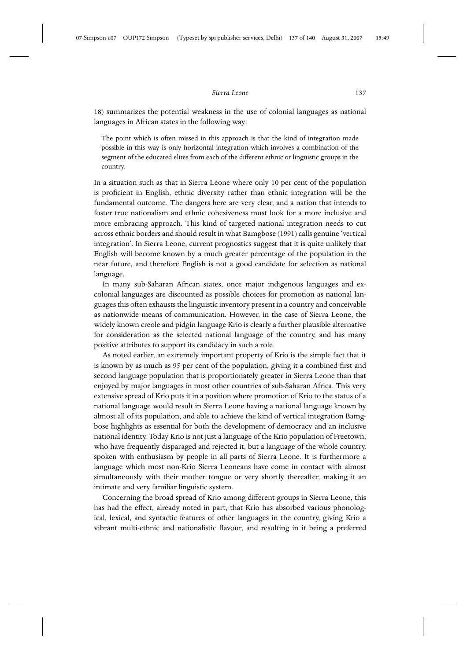18) summarizes the potential weakness in the use of colonial languages as national languages in African states in the following way:

The point which is often missed in this approach is that the kind of integration made possible in this way is only horizontal integration which involves a combination of the segment of the educated elites from each of the different ethnic or linguistic groups in the country.

In a situation such as that in Sierra Leone where only 10 per cent of the population is proficient in English, ethnic diversity rather than ethnic integration will be the fundamental outcome. The dangers here are very clear, and a nation that intends to foster true nationalism and ethnic cohesiveness must look for a more inclusive and more embracing approach. This kind of targeted national integration needs to cut across ethnic borders and should result in what Bamgbose (1991) calls genuine 'vertical integration'. In Sierra Leone, current prognostics suggest that it is quite unlikely that English will become known by a much greater percentage of the population in the near future, and therefore English is not a good candidate for selection as national language.

In many sub-Saharan African states, once major indigenous languages and excolonial languages are discounted as possible choices for promotion as national languages this often exhausts the linguistic inventory present in a country and conceivable as nationwide means of communication. However, in the case of Sierra Leone, the widely known creole and pidgin language Krio is clearly a further plausible alternative for consideration as the selected national language of the country, and has many positive attributes to support its candidacy in such a role.

As noted earlier, an extremely important property of Krio is the simple fact that it is known by as much as 95 per cent of the population, giving it a combined first and second language population that is proportionately greater in Sierra Leone than that enjoyed by major languages in most other countries of sub-Saharan Africa. This very extensive spread of Krio puts it in a position where promotion of Krio to the status of a national language would result in Sierra Leone having a national language known by almost all of its population, and able to achieve the kind of vertical integration Bamgbose highlights as essential for both the development of democracy and an inclusive national identity. Today Krio is not just a language of the Krio population of Freetown, who have frequently disparaged and rejected it, but a language of the whole country, spoken with enthusiasm by people in all parts of Sierra Leone. It is furthermore a language which most non-Krio Sierra Leoneans have come in contact with almost simultaneously with their mother tongue or very shortly thereafter, making it an intimate and very familiar linguistic system.

Concerning the broad spread of Krio among different groups in Sierra Leone, this has had the effect, already noted in part, that Krio has absorbed various phonological, lexical, and syntactic features of other languages in the country, giving Krio a vibrant multi-ethnic and nationalistic flavour, and resulting in it being a preferred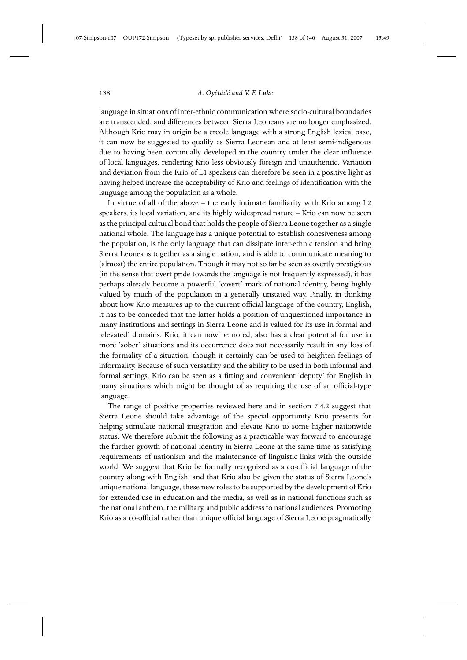language in situations of inter-ethnic communication where socio-cultural boundaries are transcended, and differences between Sierra Leoneans are no longer emphasized. Although Krio may in origin be a creole language with a strong English lexical base, it can now be suggested to qualify as Sierra Leonean and at least semi-indigenous due to having been continually developed in the country under the clear influence of local languages, rendering Krio less obviously foreign and unauthentic. Variation and deviation from the Krio of L1 speakers can therefore be seen in a positive light as having helped increase the acceptability of Krio and feelings of identification with the language among the population as a whole.

In virtue of all of the above – the early intimate familiarity with Krio among L2 speakers, its local variation, and its highly widespread nature – Krio can now be seen as the principal cultural bond that holds the people of Sierra Leone together as a single national whole. The language has a unique potential to establish cohesiveness among the population, is the only language that can dissipate inter-ethnic tension and bring Sierra Leoneans together as a single nation, and is able to communicate meaning to (almost) the entire population. Though it may not so far be seen as overtly prestigious (in the sense that overt pride towards the language is not frequently expressed), it has perhaps already become a powerful 'covert' mark of national identity, being highly valued by much of the population in a generally unstated way. Finally, in thinking about how Krio measures up to the current official language of the country, English, it has to be conceded that the latter holds a position of unquestioned importance in many institutions and settings in Sierra Leone and is valued for its use in formal and 'elevated' domains. Krio, it can now be noted, also has a clear potential for use in more 'sober' situations and its occurrence does not necessarily result in any loss of the formality of a situation, though it certainly can be used to heighten feelings of informality. Because of such versatility and the ability to be used in both informal and formal settings, Krio can be seen as a fitting and convenient 'deputy' for English in many situations which might be thought of as requiring the use of an official-type language.

The range of positive properties reviewed here and in section 7.4.2 suggest that Sierra Leone should take advantage of the special opportunity Krio presents for helping stimulate national integration and elevate Krio to some higher nationwide status. We therefore submit the following as a practicable way forward to encourage the further growth of national identity in Sierra Leone at the same time as satisfying requirements of nationism and the maintenance of linguistic links with the outside world. We suggest that Krio be formally recognized as a co-official language of the country along with English, and that Krio also be given the status of Sierra Leone's unique national language, these new roles to be supported by the development of Krio for extended use in education and the media, as well as in national functions such as the national anthem, the military, and public address to national audiences. Promoting Krio as a co-official rather than unique official language of Sierra Leone pragmatically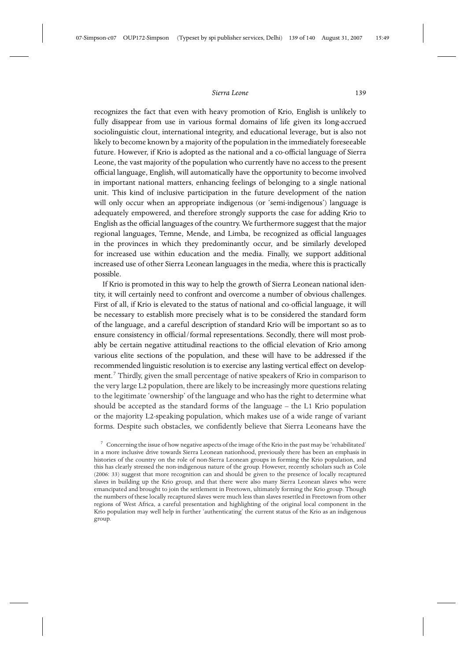recognizes the fact that even with heavy promotion of Krio, English is unlikely to fully disappear from use in various formal domains of life given its long-accrued sociolinguistic clout, international integrity, and educational leverage, but is also not likely to become known by a majority of the population in the immediately foreseeable future. However, if Krio is adopted as the national and a co-official language of Sierra Leone, the vast majority of the population who currently have no access to the present official language, English, will automatically have the opportunity to become involved in important national matters, enhancing feelings of belonging to a single national unit. This kind of inclusive participation in the future development of the nation will only occur when an appropriate indigenous (or 'semi-indigenous') language is adequately empowered, and therefore strongly supports the case for adding Krio to English as the official languages of the country. We furthermore suggest that the major regional languages, Temne, Mende, and Limba, be recognized as official languages in the provinces in which they predominantly occur, and be similarly developed for increased use within education and the media. Finally, we support additional increased use of other Sierra Leonean languages in the media, where this is practically possible.

If Krio is promoted in this way to help the growth of Sierra Leonean national identity, it will certainly need to confront and overcome a number of obvious challenges. First of all, if Krio is elevated to the status of national and co-official language, it will be necessary to establish more precisely what is to be considered the standard form of the language, and a careful description of standard Krio will be important so as to ensure consistency in official/formal representations. Secondly, there will most probably be certain negative attitudinal reactions to the official elevation of Krio among various elite sections of the population, and these will have to be addressed if the recommended linguistic resolution is to exercise any lasting vertical effect on development.<sup>7</sup> Thirdly, given the small percentage of native speakers of Krio in comparison to the very large L2 population, there are likely to be increasingly more questions relating to the legitimate 'ownership' of the language and who has the right to determine what should be accepted as the standard forms of the language – the L1 Krio population or the majority L2-speaking population, which makes use of a wide range of variant forms. Despite such obstacles, we confidently believe that Sierra Leoneans have the

 $7$  Concerning the issue of how negative aspects of the image of the Krio in the past may be 'rehabilitated' in a more inclusive drive towards Sierra Leonean nationhood, previously there has been an emphasis in histories of the country on the role of non-Sierra Leonean groups in forming the Krio population, and this has clearly stressed the non-indigenous nature of the group. However, recently scholars such as Cole (2006: 33) suggest that more recognition can and should be given to the presence of locally recaptured slaves in building up the Krio group, and that there were also many Sierra Leonean slaves who were emancipated and brought to join the settlement in Freetown, ultimately forming the Krio group. Though the numbers of these locally recaptured slaves were much less than slaves resettled in Freetown from other regions of West Africa, a careful presentation and highlighting of the original local component in the Krio population may well help in further 'authenticating' the current status of the Krio as an indigenous group